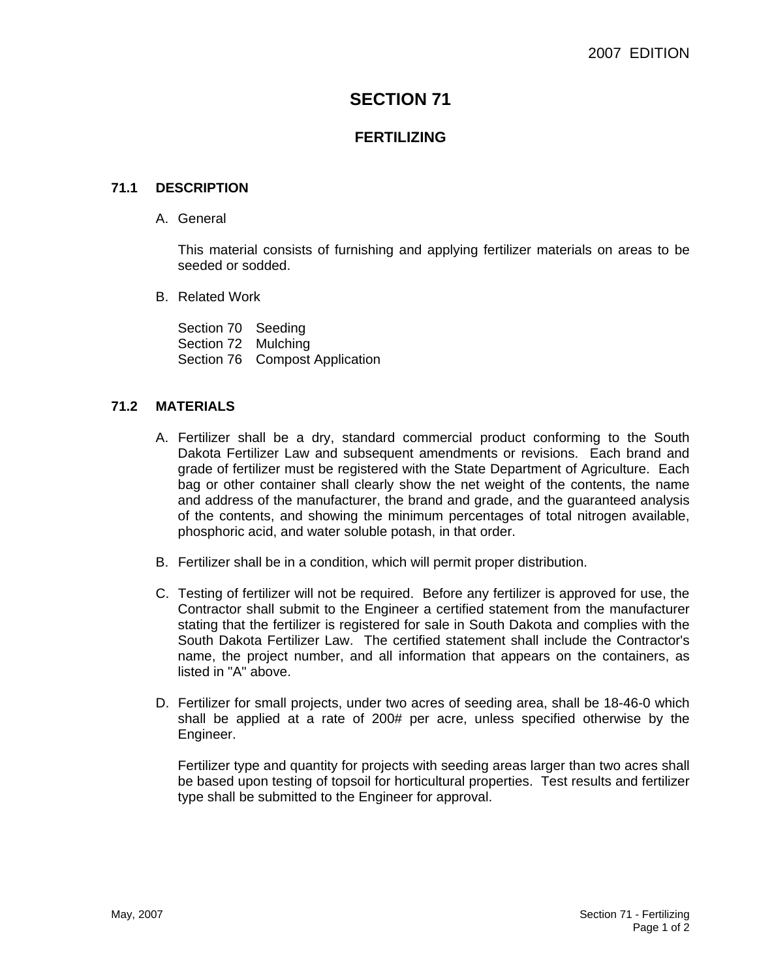# **SECTION 71**

# **FERTILIZING**

### **71.1 DESCRIPTION**

A. General

This material consists of furnishing and applying fertilizer materials on areas to be seeded or sodded.

B. Related Work

Section 70 Seeding Section 72 Mulching Section 76 Compost Application

### **71.2 MATERIALS**

- A. Fertilizer shall be a dry, standard commercial product conforming to the South Dakota Fertilizer Law and subsequent amendments or revisions. Each brand and grade of fertilizer must be registered with the State Department of Agriculture. Each bag or other container shall clearly show the net weight of the contents, the name and address of the manufacturer, the brand and grade, and the guaranteed analysis of the contents, and showing the minimum percentages of total nitrogen available, phosphoric acid, and water soluble potash, in that order.
- B. Fertilizer shall be in a condition, which will permit proper distribution.
- C. Testing of fertilizer will not be required. Before any fertilizer is approved for use, the Contractor shall submit to the Engineer a certified statement from the manufacturer stating that the fertilizer is registered for sale in South Dakota and complies with the South Dakota Fertilizer Law. The certified statement shall include the Contractor's name, the project number, and all information that appears on the containers, as listed in "A" above.
- D. Fertilizer for small projects, under two acres of seeding area, shall be 18-46-0 which shall be applied at a rate of 200# per acre, unless specified otherwise by the Engineer.

Fertilizer type and quantity for projects with seeding areas larger than two acres shall be based upon testing of topsoil for horticultural properties. Test results and fertilizer type shall be submitted to the Engineer for approval.